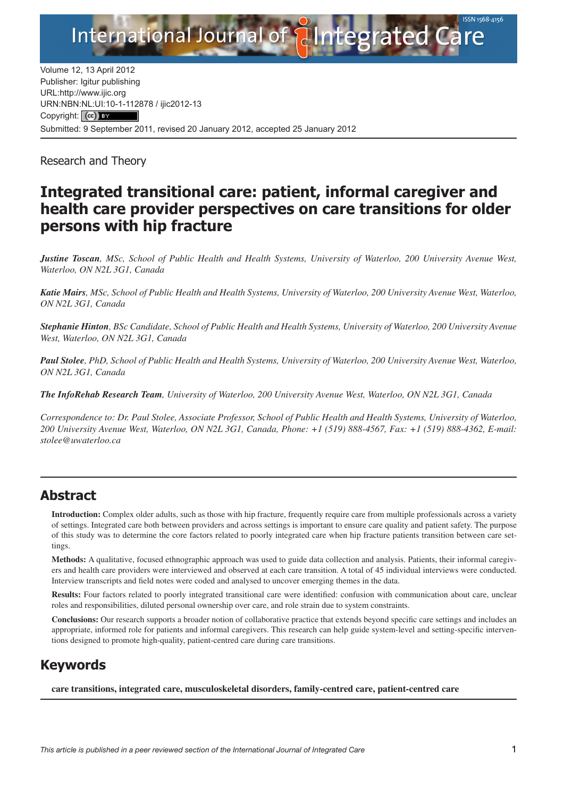

Volume 12, 13 April 2012 Publisher: Igitur publishing URL:http://www.ijic.org URN:NBN[:NL:UI:10-1-1128](http://creativecommons.org/licenses/by/3.0/)78 / ijic2012-13 Copyright: (cc) Submitted: 9 September 2011, revised 20 January 2012, accepted 25 January 2012

Research and Theory

# **Integrated transitional care: patient, informal caregiver and health care provider perspectives on care transitions for older persons with hip fracture**

*Justine Toscan, MSc, School of Public Health and Health Systems, University of Waterloo, 200 University Avenue West, Waterloo, ON N2L 3G1, Canada*

*Katie Mairs, MSc, School of Public Health and Health Systems, University of Waterloo, 200 University Avenue West, Waterloo, ON N2L 3G1, Canada*

*Stephanie Hinton, BSc Candidate, School of Public Health and Health Systems, University of Waterloo, 200 University Avenue West, Waterloo, ON N2L 3G1, Canada*

*Paul Stolee, PhD, School of Public Health and Health Systems, University of Waterloo, 200 University Avenue West, Waterloo, ON N2L 3G1, Canada*

*The InfoRehab Research Team, University of Waterloo, 200 University Avenue West, Waterloo, ON N2L 3G1, Canada*

*Correspondence to: Dr. Paul Stolee, Associate Professor, School of Public Health and Health Systems, University of Waterloo, 200 University Avenue West, Waterloo, ON N2L 3G1, Canada, Phone: +1 (519) 888-4567, Fax: +1 (519) 888-4362, E-mail: [stolee@uwaterloo.ca](mailto:stolee@uwaterloo.ca)*

# **Abstract**

**Introduction:** Complex older adults, such as those with hip fracture, frequently require care from multiple professionals across a variety of settings. Integrated care both between providers and across settings is important to ensure care quality and patient safety. The purpose of this study was to determine the core factors related to poorly integrated care when hip fracture patients transition between care settings.

**Methods:** A qualitative, focused ethnographic approach was used to guide data collection and analysis. Patients, their informal caregivers and health care providers were interviewed and observed at each care transition. A total of 45 individual interviews were conducted. Interview transcripts and field notes were coded and analysed to uncover emerging themes in the data.

**Results:** Four factors related to poorly integrated transitional care were identified: confusion with communication about care, unclear roles and responsibilities, diluted personal ownership over care, and role strain due to system constraints.

**Conclusions:** Our research supports a broader notion of collaborative practice that extends beyond specific care settings and includes an appropriate, informed role for patients and informal caregivers. This research can help guide system-level and setting-specific interventions designed to promote high-quality, patient-centred care during care transitions.

# **Keywords**

**care transitions, integrated care, musculoskeletal disorders, family-centred care, patient-centred care**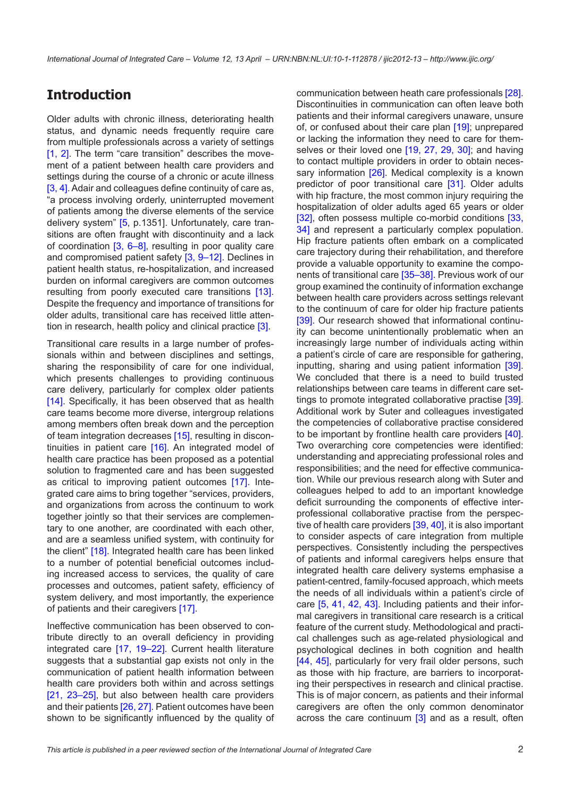## **Introduction**

Older adults with chronic illness, deteriorating health status, and dynamic needs frequently require care from multiple professionals across a variety of settings [\[1,](#page-10-0) [2\]](#page-10-0). The term "care transition" describes the movement of a patient between health care providers and settings during the course of a chronic or acute illness [\[3, 4](#page-10-0)]. Adair and colleagues define continuity of care as, "a process involving orderly, uninterrupted movement of patients among the diverse elements of the service delivery system" [[5,](#page-10-0) p.1351]. Unfortunately, care transitions are often fraught with discontinuity and a lack of coordination  $[3, 6-8]$  $[3, 6-8]$  $[3, 6-8]$  $[3, 6-8]$  $[3, 6-8]$  $[3, 6-8]$  $[3, 6-8]$ , resulting in poor quality care and compromised patient safety [[3](#page-10-0), [9–12](#page-11-0)]. Declines in patient health status, re-hospitalization, and increased burden on informal caregivers are common outcomes resulting from poorly executed care transitions [[13\]](#page-11-0). Despite the frequency and importance of transitions for older adults, transitional care has received little attention in research, health policy and clinical practice [[3](#page-10-0)].

Transitional care results in a large number of professionals within and between disciplines and settings, sharing the responsibility of care for one individual, which presents challenges to providing continuous care delivery, particularly for complex older patients [\[14\]](#page-11-0). Specifically, it has been observed that as health care teams become more diverse, intergroup relations among members often break down and the perception of team integration decreases [[15\]](#page-11-0), resulting in discontinuities in patient care [\[16](#page-11-0)]. An integrated model of health care practice has been proposed as a potential solution to fragmented care and has been suggested as critical to improving patient outcomes [\[17](#page-11-0)]. Integrated care aims to bring together "services, providers, and organizations from across the continuum to work together jointly so that their services are complementary to one another, are coordinated with each other, and are a seamless unified system, with continuity for the client" [[18\]](#page-11-0). Integrated health care has been linked to a number of potential beneficial outcomes including increased access to services, the quality of care processes and outcomes, patient safety, efficiency of system delivery, and most importantly, the experience of patients and their caregivers [[17](#page-11-0)].

Ineffective communication has been observed to contribute directly to an overall deficiency in providing integrated care [\[17](#page-11-0), [19](#page-11-0)–[22](#page-11-0)]. Current health literature suggests that a substantial gap exists not only in the communication of patient health information between health care providers both within and across settings [\[21,](#page-11-0) [23–25\]](#page-11-0), but also between health care providers and their patients [[26, 27\]](#page-11-0). Patient outcomes have been shown to be significantly influenced by the quality of communication between heath care professionals [\[28](#page-11-0)]. Discontinuities in communication can often leave both patients and their informal caregivers unaware, unsure of, or confused about their care plan [[19\]](#page-11-0); unprepared or lacking the information they need to care for them-selves or their loved one [[19,](#page-11-0) [27](#page-11-0), [29,](#page-11-0) [30](#page-11-0)]; and having to contact multiple providers in order to obtain neces-sary information [\[26\]](#page-11-0). Medical complexity is a known predictor of poor transitional care [\[31](#page-11-0)]. Older adults with hip fracture, the most common injury requiring the hospitalization of older adults aged 65 years or older [[32](#page-11-0)], often possess multiple co-morbid conditions [[33,](#page-11-0) [34](#page-11-0)] and represent a particularly complex population. Hip fracture patients often embark on a complicated care trajectory during their rehabilitation, and therefore provide a valuable opportunity to examine the components of transitional care [[35–](#page-11-0)[38](#page-12-0)]. Previous work of our group examined the continuity of information exchange between health care providers across settings relevant to the continuum of care for older hip fracture patients [[39](#page-12-0)]. Our research showed that informational continuity can become unintentionally problematic when an increasingly large number of individuals acting within a patient's circle of care are responsible for gathering, inputting, sharing and using patient information [\[39](#page-12-0)]. We concluded that there is a need to build trusted relationships between care teams in different care settings to promote integrated collaborative practise [\[39](#page-12-0)]. Additional work by Suter and colleagues investigated the competencies of collaborative practise considered to be important by frontline health care providers [\[40](#page-12-0)]. Two overarching core competencies were identified: understanding and appreciating professional roles and responsibilities; and the need for effective communication. While our previous research along with Suter and colleagues helped to add to an important knowledge deficit surrounding the components of effective interprofessional collaborative practise from the perspective of health care providers [[39, 40](#page-12-0)], it is also important to consider aspects of care integration from multiple perspectives. Consistently including the perspectives of patients and informal caregivers helps ensure that integrated health care delivery systems emphasise a patient-centred, family-focused approach, which meets the needs of all individuals within a patient's circle of care [[5](#page-10-0), [41,](#page-12-0) [42,](#page-12-0) [43](#page-12-0)]. Including patients and their informal caregivers in transitional care research is a critical feature of the current study. Methodological and practical challenges such as age-related physiological and psychological declines in both cognition and health [[44](#page-12-0), [45\]](#page-12-0), particularly for very frail older persons, such as those with hip fracture, are barriers to incorporating their perspectives in research and clinical practise. This is of major concern, as patients and their informal caregivers are often the only common denominator across the care continuum  $\overline{3}$  and as a result, often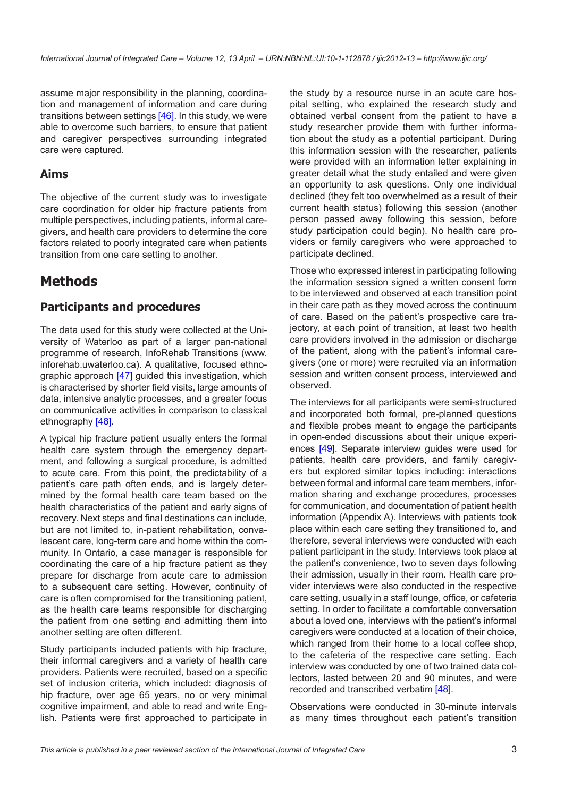assume major responsibility in the planning, coordination and management of information and care during transitions between settings [[46\]](#page-12-0). In this study, we were able to overcome such barriers, to ensure that patient and caregiver perspectives surrounding integrated care were captured.

### **Aims**

The objective of the current study was to investigate care coordination for older hip fracture patients from multiple perspectives, including patients, informal caregivers, and health care providers to determine the core factors related to poorly integrated care when patients transition from one care setting to another.

# **Methods**

### **Participants and procedures**

The data used for this study were collected at the University of Waterloo as part of a larger pan-national programme of research, InfoRehab Transitions [\(www.](www.inforehab.uwaterloo.ca) [inforehab.uwaterloo.ca\)](www.inforehab.uwaterloo.ca). A qualitative, focused ethnographic approach [\[47](#page-12-0)] guided this investigation, which is characterised by shorter field visits, large amounts of data, intensive analytic processes, and a greater focus on communicative activities in comparison to classical ethnography [[48\]](#page-12-0).

A typical hip fracture patient usually enters the formal health care system through the emergency department, and following a surgical procedure, is admitted to acute care. From this point, the predictability of a patient's care path often ends, and is largely determined by the formal health care team based on the health characteristics of the patient and early signs of recovery. Next steps and final destinations can include, but are not limited to, in-patient rehabilitation, convalescent care, long-term care and home within the community. In Ontario, a case manager is responsible for coordinating the care of a hip fracture patient as they prepare for discharge from acute care to admission to a subsequent care setting. However, continuity of care is often compromised for the transitioning patient, as the health care teams responsible for discharging the patient from one setting and admitting them into another setting are often different.

Study participants included patients with hip fracture, their informal caregivers and a variety of health care providers. Patients were recruited, based on a specific set of inclusion criteria, which included: diagnosis of hip fracture, over age 65 years, no or very minimal cognitive impairment, and able to read and write English. Patients were first approached to participate in

the study by a resource nurse in an acute care hospital setting, who explained the research study and obtained verbal consent from the patient to have a study researcher provide them with further information about the study as a potential participant. During this information session with the researcher, patients were provided with an information letter explaining in greater detail what the study entailed and were given an opportunity to ask questions. Only one individual declined (they felt too overwhelmed as a result of their current health status) following this session (another person passed away following this session, before study participation could begin). No health care providers or family caregivers who were approached to participate declined.

Those who expressed interest in participating following the information session signed a written consent form to be interviewed and observed at each transition point in their care path as they moved across the continuum of care. Based on the patient's prospective care trajectory, at each point of transition, at least two health care providers involved in the admission or discharge of the patient, along with the patient's informal caregivers (one or more) were recruited via an information session and written consent process, interviewed and observed.

The interviews for all participants were semi-structured and incorporated both formal, pre-planned questions and flexible probes meant to engage the participants in open-ended discussions about their unique experiences [[49\]](#page-12-0). Separate interview guides were used for patients, health care providers, and family caregivers but explored similar topics including: interactions between formal and informal care team members, information sharing and exchange procedures, processes for communication, and documentation of patient health information (Appendix A). Interviews with patients took place within each care setting they transitioned to, and therefore, several interviews were conducted with each patient participant in the study. Interviews took place at the patient's convenience, two to seven days following their admission, usually in their room. Health care provider interviews were also conducted in the respective care setting, usually in a staff lounge, office, or cafeteria setting. In order to facilitate a comfortable conversation about a loved one, interviews with the patient's informal caregivers were conducted at a location of their choice, which ranged from their home to a local coffee shop. to the cafeteria of the respective care setting. Each interview was conducted by one of two trained data collectors, lasted between 20 and 90 minutes, and were recorded and transcribed verbatim [\[48](#page-12-0)].

Observations were conducted in 30-minute intervals as many times throughout each patient's transition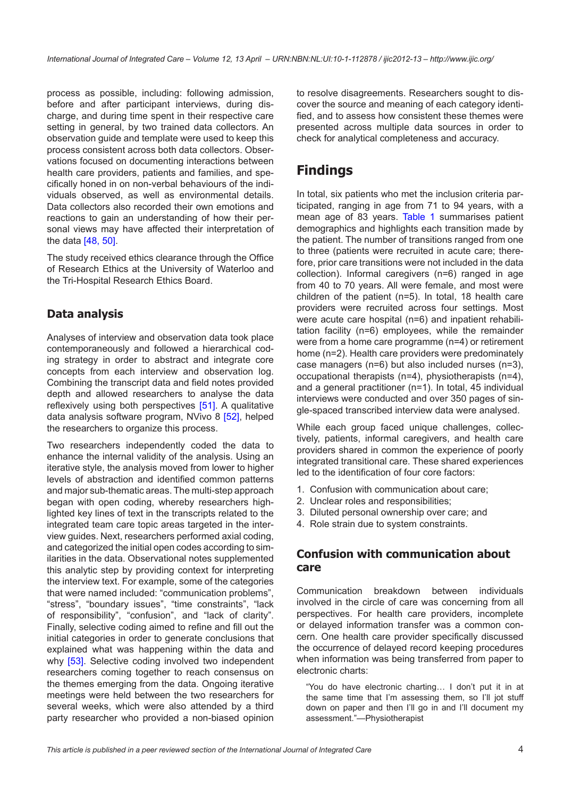process as possible, including: following admission, before and after participant interviews, during discharge, and during time spent in their respective care setting in general, by two trained data collectors. An observation guide and template were used to keep this process consistent across both data collectors. Observations focused on documenting interactions between health care providers, patients and families, and specifically honed in on non-verbal behaviours of the individuals observed, as well as environmental details. Data collectors also recorded their own emotions and reactions to gain an understanding of how their personal views may have affected their interpretation of the data [\[48](#page-12-0), [50](#page-12-0)].

The study received ethics clearance through the Office of Research Ethics at the University of Waterloo and the Tri-Hospital Research Ethics Board.

### **Data analysis**

Analyses of interview and observation data took place contemporaneously and followed a hierarchical coding strategy in order to abstract and integrate core concepts from each interview and observation log. Combining the transcript data and field notes provided depth and allowed researchers to analyse the data reflexively using both perspectives [\[51](#page-12-0)]. A qualitative data analysis software program, NVivo 8 [[52](#page-12-0)], helped the researchers to organize this process.

Two researchers independently coded the data to enhance the internal validity of the analysis. Using an iterative style, the analysis moved from lower to higher levels of abstraction and identified common patterns and major sub-thematic areas. The multi-step approach began with open coding, whereby researchers highlighted key lines of text in the transcripts related to the integrated team care topic areas targeted in the interview guides. Next, researchers performed axial coding, and categorized the initial open codes according to similarities in the data. Observational notes supplemented this analytic step by providing context for interpreting the interview text. For example, some of the categories that were named included: "communication problems", "stress", "boundary issues", "time constraints", "lack of responsibility", "confusion", and "lack of clarity". Finally, selective coding aimed to refine and fill out the initial categories in order to generate conclusions that explained what was happening within the data and why [\[53](#page-12-0)]. Selective coding involved two independent researchers coming together to reach consensus on the themes emerging from the data. Ongoing iterative meetings were held between the two researchers for several weeks, which were also attended by a third party researcher who provided a non-biased opinion to resolve disagreements. Researchers sought to discover the source and meaning of each category identified, and to assess how consistent these themes were presented across multiple data sources in order to check for analytical completeness and accuracy.

# **Findings**

In total, six patients who met the inclusion criteria participated, ranging in age from 71 to 94 years, with a mean age of 83 years. [Table 1](#page-4-0) summarises patient demographics and highlights each transition made by the patient. The number of transitions ranged from one to three (patients were recruited in acute care; therefore, prior care transitions were not included in the data collection). Informal caregivers (n=6) ranged in age from 40 to 70 years. All were female, and most were children of the patient (n=5). In total, 18 health care providers were recruited across four settings. Most were acute care hospital (n=6) and inpatient rehabilitation facility (n=6) employees, while the remainder were from a home care programme (n=4) or retirement home (n=2). Health care providers were predominately case managers (n=6) but also included nurses (n=3), occupational therapists (n=4), physiotherapists (n=4), and a general practitioner (n=1). In total, 45 individual interviews were conducted and over 350 pages of single-spaced transcribed interview data were analysed.

While each group faced unique challenges, collectively, patients, informal caregivers, and health care providers shared in common the experience of poorly integrated transitional care. These shared experiences led to the identification of four core factors:

- 1. Confusion with communication about care;
- 2. Unclear roles and responsibilities;
- 3. Diluted personal ownership over care; and
- 4. Role strain due to system constraints.

### **Confusion with communication about care**

Communication breakdown between individuals involved in the circle of care was concerning from all perspectives. For health care providers, incomplete or delayed information transfer was a common concern. One health care provider specifically discussed the occurrence of delayed record keeping procedures when information was being transferred from paper to electronic charts:

"You do have electronic charting… I don't put it in at the same time that I'm assessing them, so I'll jot stuff down on paper and then I'll go in and I'll document my assessment."—Physiotherapist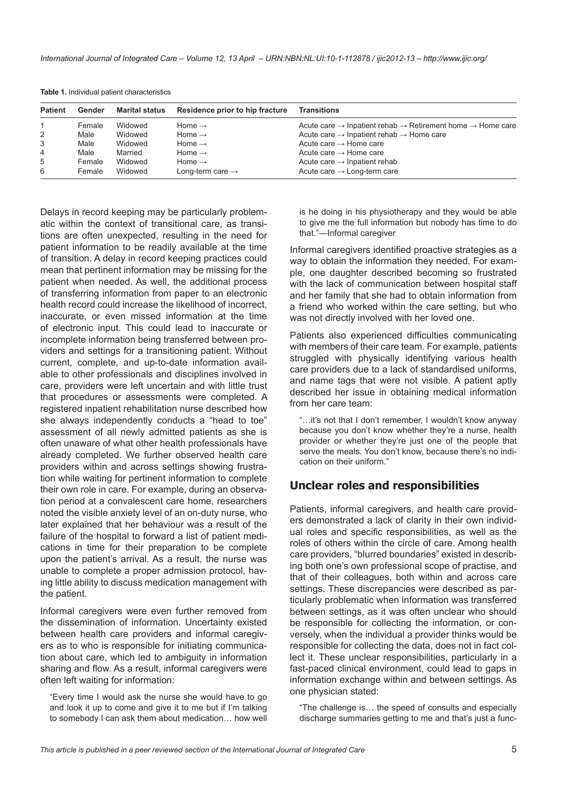| <b>Patient</b> | Gender | Marital status | Residence prior to hip fracture | <b>Transitions</b>                                                                             |
|----------------|--------|----------------|---------------------------------|------------------------------------------------------------------------------------------------|
|                | Female | Widowed        | Home $\rightarrow$              | Acute care $\rightarrow$ Inpatient rehab $\rightarrow$ Retirement home $\rightarrow$ Home care |
| $\overline{2}$ | Male   | Widowed        | Home $\rightarrow$              | Acute care $\rightarrow$ Inpatient rehab $\rightarrow$ Home care                               |
| 3              | Male   | Widowed        | Home $\rightarrow$              | Acute care $\rightarrow$ Home care                                                             |
| 4              | Male   | Married        | Home $\rightarrow$              | Acute care $\rightarrow$ Home care                                                             |
| 5              | Female | Widowed        | Home $\rightarrow$              | Acute care $\rightarrow$ Inpatient rehab                                                       |
| 6              | Female | Widowed        | Long-term care $\rightarrow$    | Acute care $\rightarrow$ Long-term care                                                        |

<span id="page-4-0"></span>**Table 1.** Individual patient characteristics

Delays in record keeping may be particularly problematic within the context of transitional care, as transitions are often unexpected, resulting in the need for patient information to be readily available at the time of transition. A delay in record keeping practices could mean that pertinent information may be missing for the patient when needed. As well, the additional process of transferring information from paper to an electronic health record could increase the likelihood of incorrect, inaccurate, or even missed information at the time of electronic input. This could lead to inaccurate or incomplete information being transferred between providers and settings for a transitioning patient. Without current, complete, and up-to-date information available to other professionals and disciplines involved in care, providers were left uncertain and with little trust that procedures or assessments were completed. A registered inpatient rehabilitation nurse described how she always independently conducts a "head to toe" assessment of all newly admitted patients as she is often unaware of what other health professionals have already completed. We further observed health care providers within and across settings showing frustration while waiting for pertinent information to complete their own role in care. For example, during an observation period at a convalescent care home, researchers noted the visible anxiety level of an on-duty nurse, who later explained that her behaviour was a result of the failure of the hospital to forward a list of patient medications in time for their preparation to be complete upon the patient's arrival. As a result, the nurse was unable to complete a proper admission protocol, having little ability to discuss medication management with the patient.

Informal caregivers were even further removed from the dissemination of information. Uncertainty existed between health care providers and informal caregivers as to who is responsible for initiating communication about care, which led to ambiguity in information sharing and flow. As a result, informal caregivers were often left waiting for information:

"Every time I would ask the nurse she would have to go and look it up to come and give it to me but if I'm talking to somebody I can ask them about medication… how well is he doing in his physiotherapy and they would be able to give me the full information but nobody has time to do that."—Informal caregiver

Informal caregivers identified proactive strategies as a way to obtain the information they needed. For example, one daughter described becoming so frustrated with the lack of communication between hospital staff and her family that she had to obtain information from a friend who worked within the care setting, but who was not directly involved with her loved one.

Patients also experienced difficulties communicating with members of their care team. For example, patients struggled with physically identifying various health care providers due to a lack of standardised uniforms, and name tags that were not visible. A patient aptly described her issue in obtaining medical information from her care team:

"…it's not that I don't remember, I wouldn't know anyway because you don't know whether they're a nurse, health provider or whether they're just one of the people that serve the meals. You don't know, because there's no indication on their uniform."

### **Unclear roles and responsibilities**

Patients, informal caregivers, and health care providers demonstrated a lack of clarity in their own individual roles and specific responsibilities, as well as the roles of others within the circle of care. Among health care providers, "blurred boundaries" existed in describing both one's own professional scope of practise, and that of their colleagues, both within and across care settings. These discrepancies were described as particularly problematic when information was transferred between settings, as it was often unclear who should be responsible for collecting the information, or conversely, when the individual a provider thinks would be responsible for collecting the data, does not in fact collect it. These unclear responsibilities, particularly in a fast-paced clinical environment, could lead to gaps in information exchange within and between settings. As one physician stated:

"The challenge is… the speed of consults and especially discharge summaries getting to me and that's just a func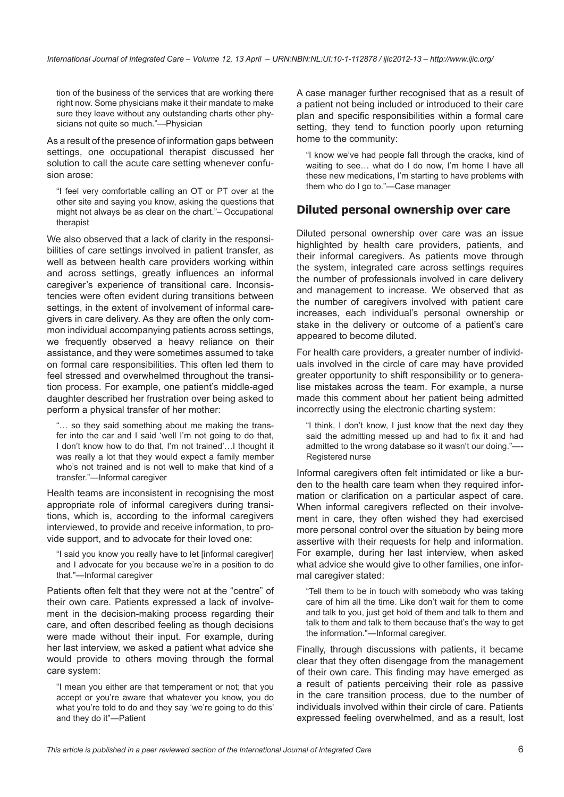tion of the business of the services that are working there right now. Some physicians make it their mandate to make sure they leave without any outstanding charts other physicians not quite so much."—Physician

As a result of the presence of information gaps between settings, one occupational therapist discussed her solution to call the acute care setting whenever confusion arose:

"I feel very comfortable calling an OT or PT over at the other site and saying you know, asking the questions that might not always be as clear on the chart."– Occupational therapist

We also observed that a lack of clarity in the responsibilities of care settings involved in patient transfer, as well as between health care providers working within and across settings, greatly influences an informal caregiver's experience of transitional care. Inconsistencies were often evident during transitions between settings, in the extent of involvement of informal caregivers in care delivery. As they are often the only common individual accompanying patients across settings, we frequently observed a heavy reliance on their assistance, and they were sometimes assumed to take on formal care responsibilities. This often led them to feel stressed and overwhelmed throughout the transition process. For example, one patient's middle-aged daughter described her frustration over being asked to perform a physical transfer of her mother:

"… so they said something about me making the transfer into the car and I said 'well I'm not going to do that, I don't know how to do that, I'm not trained'…I thought it was really a lot that they would expect a family member who's not trained and is not well to make that kind of a transfer."—Informal caregiver

Health teams are inconsistent in recognising the most appropriate role of informal caregivers during transitions, which is, according to the informal caregivers interviewed, to provide and receive information, to provide support, and to advocate for their loved one:

"I said you know you really have to let [informal caregiver] and I advocate for you because we're in a position to do that."—Informal caregiver

Patients often felt that they were not at the "centre" of their own care. Patients expressed a lack of involvement in the decision-making process regarding their care, and often described feeling as though decisions were made without their input. For example, during her last interview, we asked a patient what advice she would provide to others moving through the formal care system:

"I mean you either are that temperament or not; that you accept or you're aware that whatever you know, you do what you're told to do and they say 'we're going to do this' and they do it"—Patient

A case manager further recognised that as a result of a patient not being included or introduced to their care plan and specific responsibilities within a formal care setting, they tend to function poorly upon returning home to the community:

"I know we've had people fall through the cracks, kind of waiting to see… what do I do now, I'm home I have all these new medications, I'm starting to have problems with them who do I go to."—Case manager

### **Diluted personal ownership over care**

Diluted personal ownership over care was an issue highlighted by health care providers, patients, and their informal caregivers. As patients move through the system, integrated care across settings requires the number of professionals involved in care delivery and management to increase. We observed that as the number of caregivers involved with patient care increases, each individual's personal ownership or stake in the delivery or outcome of a patient's care appeared to become diluted.

For health care providers, a greater number of individuals involved in the circle of care may have provided greater opportunity to shift responsibility or to generalise mistakes across the team. For example, a nurse made this comment about her patient being admitted incorrectly using the electronic charting system:

"I think, I don't know, I just know that the next day they said the admitting messed up and had to fix it and had admitted to the wrong database so it wasn't our doing."—- Registered nurse

Informal caregivers often felt intimidated or like a burden to the health care team when they required information or clarification on a particular aspect of care. When informal caregivers reflected on their involvement in care, they often wished they had exercised more personal control over the situation by being more assertive with their requests for help and information. For example, during her last interview, when asked what advice she would give to other families, one informal caregiver stated:

"Tell them to be in touch with somebody who was taking care of him all the time. Like don't wait for them to come and talk to you, just get hold of them and talk to them and talk to them and talk to them because that's the way to get the information."—Informal caregiver.

Finally, through discussions with patients, it became clear that they often disengage from the management of their own care. This finding may have emerged as a result of patients perceiving their role as passive in the care transition process, due to the number of individuals involved within their circle of care. Patients expressed feeling overwhelmed, and as a result, lost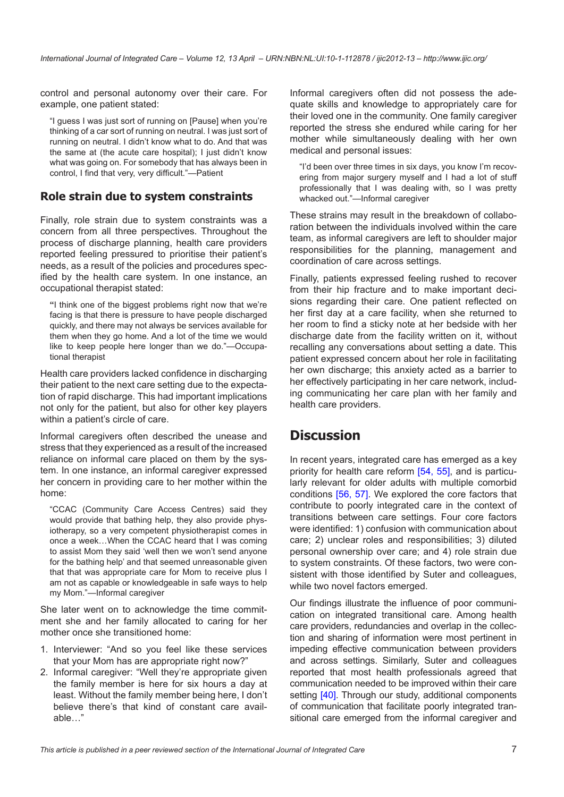control and personal autonomy over their care. For example, one patient stated:

"I guess I was just sort of running on [Pause] when you're thinking of a car sort of running on neutral. I was just sort of running on neutral. I didn't know what to do. And that was the same at (the acute care hospital); I just didn't know what was going on. For somebody that has always been in control, I find that very, very difficult."—Patient

### **Role strain due to system constraints**

Finally, role strain due to system constraints was a concern from all three perspectives. Throughout the process of discharge planning, health care providers reported feeling pressured to prioritise their patient's needs, as a result of the policies and procedures specified by the health care system. In one instance, an occupational therapist stated:

**"**I think one of the biggest problems right now that we're facing is that there is pressure to have people discharged quickly, and there may not always be services available for them when they go home. And a lot of the time we would like to keep people here longer than we do."—Occupational therapist

Health care providers lacked confidence in discharging their patient to the next care setting due to the expectation of rapid discharge. This had important implications not only for the patient, but also for other key players within a patient's circle of care.

Informal caregivers often described the unease and stress that they experienced as a result of the increased reliance on informal care placed on them by the system. In one instance, an informal caregiver expressed her concern in providing care to her mother within the home:

"CCAC (Community Care Access Centres) said they would provide that bathing help, they also provide physiotherapy, so a very competent physiotherapist comes in once a week…When the CCAC heard that I was coming to assist Mom they said 'well then we won't send anyone for the bathing help' and that seemed unreasonable given that that was appropriate care for Mom to receive plus I am not as capable or knowledgeable in safe ways to help my Mom."—Informal caregiver

She later went on to acknowledge the time commitment she and her family allocated to caring for her mother once she transitioned home:

- 1. Interviewer: "And so you feel like these services that your Mom has are appropriate right now?"
- 2. Informal caregiver: "Well they're appropriate given the family member is here for six hours a day at least. Without the family member being here, I don't believe there's that kind of constant care available…"

Informal caregivers often did not possess the adequate skills and knowledge to appropriately care for their loved one in the community. One family caregiver reported the stress she endured while caring for her mother while simultaneously dealing with her own medical and personal issues:

"I'd been over three times in six days, you know I'm recovering from major surgery myself and I had a lot of stuff professionally that I was dealing with, so I was pretty whacked out."—Informal caregiver

These strains may result in the breakdown of collaboration between the individuals involved within the care team, as informal caregivers are left to shoulder major responsibilities for the planning, management and coordination of care across settings.

Finally, patients expressed feeling rushed to recover from their hip fracture and to make important decisions regarding their care. One patient reflected on her first day at a care facility, when she returned to her room to find a sticky note at her bedside with her discharge date from the facility written on it, without recalling any conversations about setting a date. This patient expressed concern about her role in facilitating her own discharge; this anxiety acted as a barrier to her effectively participating in her care network, including communicating her care plan with her family and health care providers.

## **Discussion**

In recent years, integrated care has emerged as a key priority for health care reform [[54,](#page-12-0) [55](#page-12-0)], and is particularly relevant for older adults with multiple comorbid conditions [\[56,](#page-12-0) [57\]](#page-12-0). We explored the core factors that contribute to poorly integrated care in the context of transitions between care settings. Four core factors were identified: 1) confusion with communication about care; 2) unclear roles and responsibilities; 3) diluted personal ownership over care; and 4) role strain due to system constraints. Of these factors, two were consistent with those identified by Suter and colleagues, while two novel factors emerged.

Our findings illustrate the influence of poor communication on integrated transitional care. Among health care providers, redundancies and overlap in the collection and sharing of information were most pertinent in impeding effective communication between providers and across settings. Similarly, Suter and colleagues reported that most health professionals agreed that communication needed to be improved within their care setting [\[40\]](#page-12-0). Through our study, additional components of communication that facilitate poorly integrated transitional care emerged from the informal caregiver and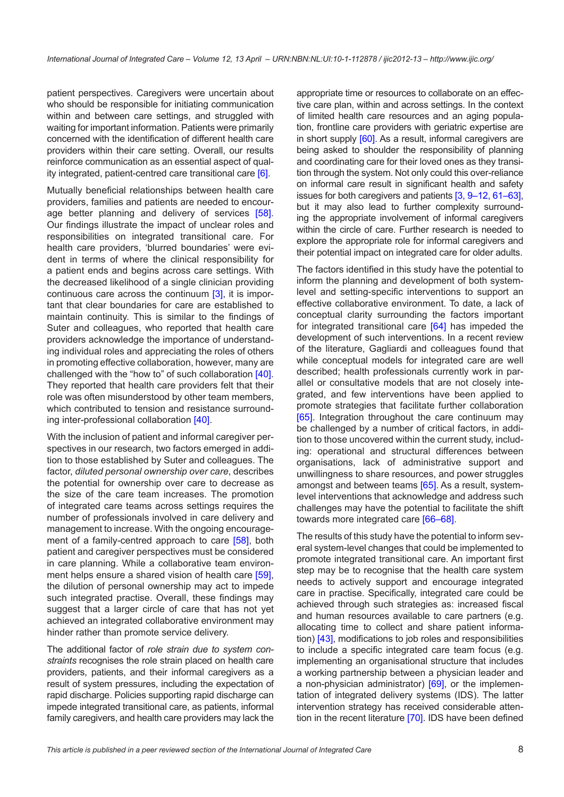patient perspectives. Caregivers were uncertain about who should be responsible for initiating communication within and between care settings, and struggled with waiting for important information. Patients were primarily concerned with the identification of different health care providers within their care setting. Overall, our results reinforce communication as an essential aspect of quality integrated, patient-centred care transitional care [[6](#page-10-0)].

Mutually beneficial relationships between health care providers, families and patients are needed to encour-age better planning and delivery of services [\[58\]](#page-12-0). Our findings illustrate the impact of unclear roles and responsibilities on integrated transitional care. For health care providers, 'blurred boundaries' were evident in terms of where the clinical responsibility for a patient ends and begins across care settings. With the decreased likelihood of a single clinician providing continuous care across the continuum [\[3\]](#page-10-0), it is important that clear boundaries for care are established to maintain continuity. This is similar to the findings of Suter and colleagues, who reported that health care providers acknowledge the importance of understanding individual roles and appreciating the roles of others in promoting effective collaboration, however, many are challenged with the "how to" of such collaboration [\[40\]](#page-12-0). They reported that health care providers felt that their role was often misunderstood by other team members, which contributed to tension and resistance surrounding inter-professional collaboration [\[40\]](#page-12-0).

With the inclusion of patient and informal caregiver perspectives in our research, two factors emerged in addition to those established by Suter and colleagues. The factor, *diluted personal ownership over care*, describes the potential for ownership over care to decrease as the size of the care team increases. The promotion of integrated care teams across settings requires the number of professionals involved in care delivery and management to increase. With the ongoing encourage-ment of a family-centred approach to care [[58](#page-12-0)], both patient and caregiver perspectives must be considered in care planning. While a collaborative team environ-ment helps ensure a shared vision of health care [\[59\]](#page-12-0), the dilution of personal ownership may act to impede such integrated practise. Overall, these findings may suggest that a larger circle of care that has not yet achieved an integrated collaborative environment may hinder rather than promote service delivery.

The additional factor of *role strain due to system constraints* recognises the role strain placed on health care providers, patients, and their informal caregivers as a result of system pressures, including the expectation of rapid discharge. Policies supporting rapid discharge can impede integrated transitional care, as patients, informal family caregivers, and health care providers may lack the

appropriate time or resources to collaborate on an effective care plan, within and across settings. In the context of limited health care resources and an aging population, frontline care providers with geriatric expertise are in short supply [\[60](#page-12-0)]. As a result, informal caregivers are being asked to shoulder the responsibility of planning and coordinating care for their loved ones as they transition through the system. Not only could this over-reliance on informal care result in significant health and safety issues for both caregivers and patients [\[3](#page-10-0), [9–12](#page-11-0), [61](#page-12-0)–[63](#page-12-0)], but it may also lead to further complexity surrounding the appropriate involvement of informal caregivers within the circle of care. Further research is needed to explore the appropriate role for informal caregivers and their potential impact on integrated care for older adults.

The factors identified in this study have the potential to inform the planning and development of both systemlevel and setting-specific interventions to support an effective collaborative environment. To date, a lack of conceptual clarity surrounding the factors important for integrated transitional care [\[64\]](#page-12-0) has impeded the development of such interventions. In a recent review of the literature, Gagliardi and colleagues found that while conceptual models for integrated care are well described; health professionals currently work in parallel or consultative models that are not closely integrated, and few interventions have been applied to promote strategies that facilitate further collaboration [[65](#page-12-0)]. Integration throughout the care continuum may be challenged by a number of critical factors, in addition to those uncovered within the current study, including: operational and structural differences between organisations, lack of administrative support and unwillingness to share resources, and power struggles amongst and between teams [[65\]](#page-12-0). As a result, systemlevel interventions that acknowledge and address such challenges may have the potential to facilitate the shift towards more integrated care [[66–68\]](#page-13-0).

The results of this study have the potential to inform several system-level changes that could be implemented to promote integrated transitional care. An important first step may be to recognise that the health care system needs to actively support and encourage integrated care in practise. Specifically, integrated care could be achieved through such strategies as: increased fiscal and human resources available to care partners (e.g. allocating time to collect and share patient information) [[43\]](#page-12-0), modifications to job roles and responsibilities to include a specific integrated care team focus (e.g. implementing an organisational structure that includes a working partnership between a physician leader and a non-physician administrator) [\[69](#page-13-0)], or the implementation of integrated delivery systems (IDS). The latter intervention strategy has received considerable atten-tion in the recent literature [[70\]](#page-13-0). IDS have been defined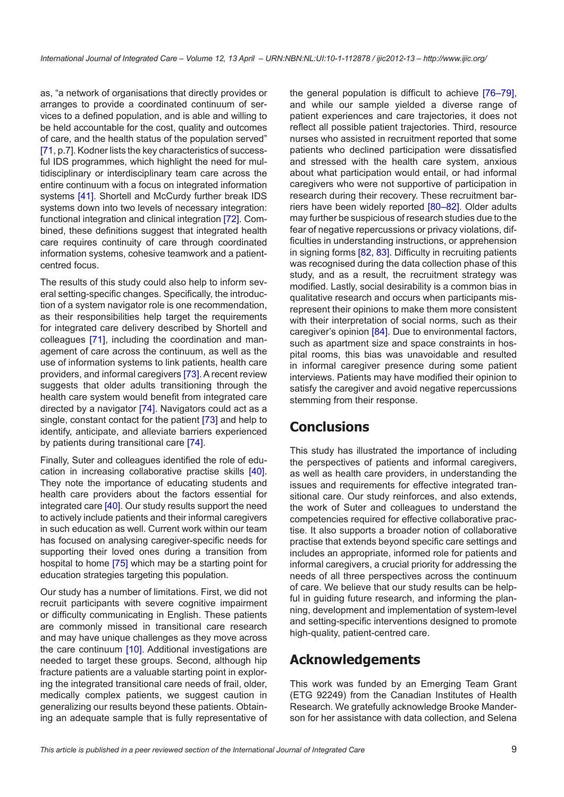as, "a network of organisations that directly provides or arranges to provide a coordinated continuum of services to a defined population, and is able and willing to be held accountable for the cost, quality and outcomes of care, and the health status of the population served" [\[71](#page-13-0), p.7]. Kodner lists the key characteristics of successful IDS programmes, which highlight the need for multidisciplinary or interdisciplinary team care across the entire continuum with a focus on integrated information systems [\[41](#page-12-0)]. Shortell and McCurdy further break IDS systems down into two levels of necessary integration: functional integration and clinical integration [[72\]](#page-13-0). Combined, these definitions suggest that integrated health care requires continuity of care through coordinated information systems, cohesive teamwork and a patientcentred focus.

The results of this study could also help to inform several setting-specific changes. Specifically, the introduction of a system navigator role is one recommendation, as their responsibilities help target the requirements for integrated care delivery described by Shortell and colleagues [\[71](#page-13-0)], including the coordination and management of care across the continuum, as well as the use of information systems to link patients, health care providers, and informal caregivers [\[73\]](#page-13-0). A recent review suggests that older adults transitioning through the health care system would benefit from integrated care directed by a navigator [[74\]](#page-13-0). Navigators could act as a single, constant contact for the patient [\[73](#page-13-0)] and help to identify, anticipate, and alleviate barriers experienced by patients during transitional care [\[74\]](#page-13-0).

Finally, Suter and colleagues identified the role of education in increasing collaborative practise skills [[40\]](#page-12-0). They note the importance of educating students and health care providers about the factors essential for integrated care [\[40](#page-12-0)]. Our study results support the need to actively include patients and their informal caregivers in such education as well. Current work within our team has focused on analysing caregiver-specific needs for supporting their loved ones during a transition from hospital to home [\[75](#page-13-0)] which may be a starting point for education strategies targeting this population.

Our study has a number of limitations. First, we did not recruit participants with severe cognitive impairment or difficulty communicating in English. These patients are commonly missed in transitional care research and may have unique challenges as they move across the care continuum [[10\]](#page-11-0). Additional investigations are needed to target these groups. Second, although hip fracture patients are a valuable starting point in exploring the integrated transitional care needs of frail, older, medically complex patients, we suggest caution in generalizing our results beyond these patients. Obtaining an adequate sample that is fully representative of the general population is difficult to achieve [\[76](#page-13-0)–[79](#page-13-0)], and while our sample yielded a diverse range of patient experiences and care trajectories, it does not reflect all possible patient trajectories. Third, resource nurses who assisted in recruitment reported that some patients who declined participation were dissatisfied and stressed with the health care system, anxious about what participation would entail, or had informal caregivers who were not supportive of participation in research during their recovery. These recruitment barriers have been widely reported [\[80–82](#page-13-0)]. Older adults may further be suspicious of research studies due to the fear of negative repercussions or privacy violations, difficulties in understanding instructions, or apprehension in signing forms [[82, 83](#page-13-0)]. Difficulty in recruiting patients was recognised during the data collection phase of this study, and as a result, the recruitment strategy was modified. Lastly, social desirability is a common bias in qualitative research and occurs when participants misrepresent their opinions to make them more consistent with their interpretation of social norms, such as their caregiver's opinion [\[84](#page-13-0)]. Due to environmental factors, such as apartment size and space constraints in hospital rooms, this bias was unavoidable and resulted in informal caregiver presence during some patient interviews. Patients may have modified their opinion to satisfy the caregiver and avoid negative repercussions stemming from their response.

## **Conclusions**

This study has illustrated the importance of including the perspectives of patients and informal caregivers, as well as health care providers, in understanding the issues and requirements for effective integrated transitional care. Our study reinforces, and also extends, the work of Suter and colleagues to understand the competencies required for effective collaborative practise. It also supports a broader notion of collaborative practise that extends beyond specific care settings and includes an appropriate, informed role for patients and informal caregivers, a crucial priority for addressing the needs of all three perspectives across the continuum of care. We believe that our study results can be helpful in guiding future research, and informing the planning, development and implementation of system-level and setting-specific interventions designed to promote high-quality, patient-centred care.

## **Acknowledgements**

This work was funded by an Emerging Team Grant (ETG 92249) from the Canadian Institutes of Health Research. We gratefully acknowledge Brooke Manderson for her assistance with data collection, and Selena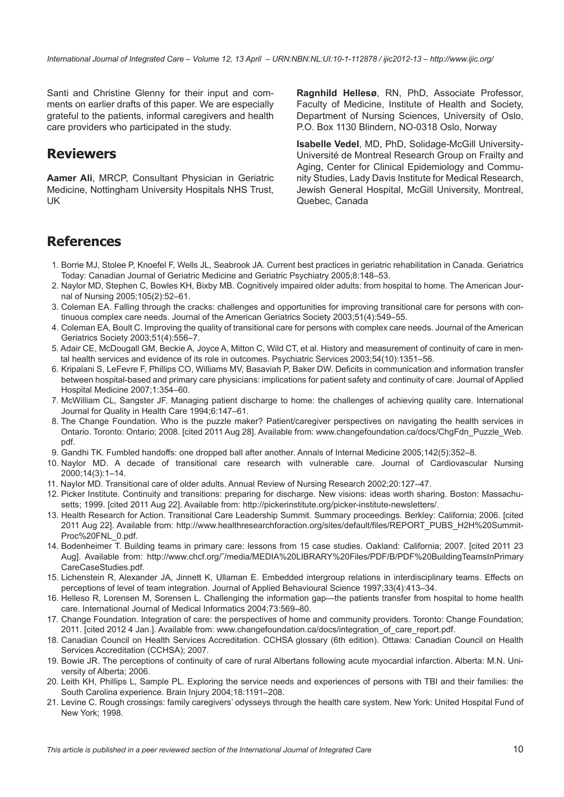Santi and Christine Glenny for their input and comments on earlier drafts of this paper. We are especially grateful to the patients, informal caregivers and health care providers who participated in the study.

## **Reviewers**

**Aamer Ali**, MRCP, Consultant Physician in Geriatric Medicine, Nottingham University Hospitals NHS Trust, UK

**Ragnhild Hellesø**, RN, PhD, Associate Professor, Faculty of Medicine, Institute of Health and Society, Department of Nursing Sciences, University of Oslo, P.O. Box 1130 Blindern, NO-0318 Oslo, Norway

**Isabelle Vedel**, MD, PhD, Solidage-McGill University-Université de Montreal Research Group on Frailty and Aging, Center for Clinical Epidemiology and Community Studies, Lady Davis Institute for Medical Research, Jewish General Hospital, McGill University, Montreal, Quebec, Canada

## **References**

- 1. Borrie MJ, Stolee P, Knoefel F, Wells JL, Seabrook JA. Current best practices in geriatric rehabilitation in Canada. Geriatrics Today: Canadian Journal of Geriatric Medicine and Geriatric Psychiatry 2005;8:148–53.
- 2. Naylor MD, Stephen C, Bowles KH, Bixby MB. Cognitively impaired older adults: from hospital to home. The American Journal of Nursing 2005;105(2):52–61.
- 3. Coleman EA. Falling through the cracks: challenges and opportunities for improving transitional care for persons with continuous complex care needs. Journal of the American Geriatrics Society 2003;51(4):549–55.
- 4. Coleman EA, Boult C. Improving the quality of transitional care for persons with complex care needs. Journal of the American Geriatrics Society 2003;51(4):556–7.
- 5. Adair CE, McDougall GM, Beckie A, Joyce A, Mitton C, Wild CT, et al. History and measurement of continuity of care in mental health services and evidence of its role in outcomes. Psychiatric Services 2003;54(10):1351–56.
- 6. Kripalani S, LeFevre F, Phillips CO, Williams MV, Basaviah P, Baker DW. Deficits in communication and information transfer between hospital-based and primary care physicians: implications for patient safety and continuity of care. Journal of Applied Hospital Medicine 2007;1:354–60.
- 7. McWilliam CL, Sangster JF. Managing patient discharge to home: the challenges of achieving quality care. International Journal for Quality in Health Care 1994;6:147–61.
- 8. The Change Foundation. Who is the puzzle maker? Patient/caregiver perspectives on navigating the health services in Ontario. Toronto: Ontario; 2008. [cited 2011 Aug 28]. Available from: www.changefoundation.ca/docs/ChgFdn\_Puzzle\_Web. pdf.
- 9. Gandhi TK. Fumbled handoffs: one dropped ball after another. Annals of Internal Medicine 2005;142(5):352–8.
- 10. Naylor MD. A decade of transitional care research with vulnerable care. Journal of Cardiovascular Nursing 2000;14(3):1–14.
- 11. Naylor MD. Transitional care of older adults. Annual Review of Nursing Research 2002;20:127–47.
- 12. Picker Institute. Continuity and transitions: preparing for discharge. New visions: ideas worth sharing. Boston: Massachusetts; 1999. [cited 2011 Aug 22]. Available from:<http://pickerinstitute.org/picker-institute-newsletters/>.
- 13. Health Research for Action. Transitional Care Leadership Summit. Summary proceedings. Berkley: California; 2006. [cited 2011 Aug 22]. Available from: [http://www.healthresearchforaction.org/sites/default/files/REPORT\\_PUBS\\_H2H%20Summit](http://www.healthresearchforaction.org/sites/default/files/REPORT_PUBS_H2H%20SummitProc%20FNL_0.pdf)-[Proc%20FNL\\_0.pd](http://www.healthresearchforaction.org/sites/default/files/REPORT_PUBS_H2H%20SummitProc%20FNL_0.pdf)f.
- 14. Bodenheimer T. Building teams in primary care: lessons from 15 case studies. Oakland: California; 2007. [cited 2011 23 Aug]. Available from: [http://www.chcf.org/˜/media/MEDIA%20LIBRARY%20Files/PDF/B/PDF%20BuildingTeamsInPrimary](http://www.chcf.org/�/media/MEDIA%20LIBRARY%20Files/PDF/B/PDF%20BuildingTeamsInPrimaryCareCaseStudies.pdf) [CareCaseStudies.pdf](http://www.chcf.org/�/media/MEDIA%20LIBRARY%20Files/PDF/B/PDF%20BuildingTeamsInPrimaryCareCaseStudies.pdf).
- 15. Lichenstein R, Alexander JA, Jinnett K, Ullaman E. Embedded intergroup relations in interdisciplinary teams. Effects on perceptions of level of team integration. Journal of Applied Behavioural Science 1997;33(4):413–34.
- 16. Helleso R, Lorensen M, Sorensen L. Challenging the information gap—the patients transfer from hospital to home health care. International Journal of Medical Informatics 2004;73:569–80.
- 17. Change Foundation. Integration of care: the perspectives of home and community providers. Toronto: Change Foundation; 2011. [cited 2012 4 Jan.]. Available from: www.changefoundation.ca/docs/integration\_of\_care\_report.pdf.
- 18. Canadian Council on Health Services Accreditation. CCHSA glossary (6th edition). Ottawa: Canadian Council on Health Services Accreditation (CCHSA); 2007.
- 19. Bowie JR. The perceptions of continuity of care of rural Albertans following acute myocardial infarction. Alberta: M.N. University of Alberta; 2006.
- 20. Leith KH, Phillips L, Sample PL. Exploring the service needs and experiences of persons with TBI and their families: the South Carolina experience. Brain Injury 2004;18:1191–208.
- 21. Levine C. Rough crossings: family caregivers' odysseys through the health care system. New York: United Hospital Fund of New York; 1998.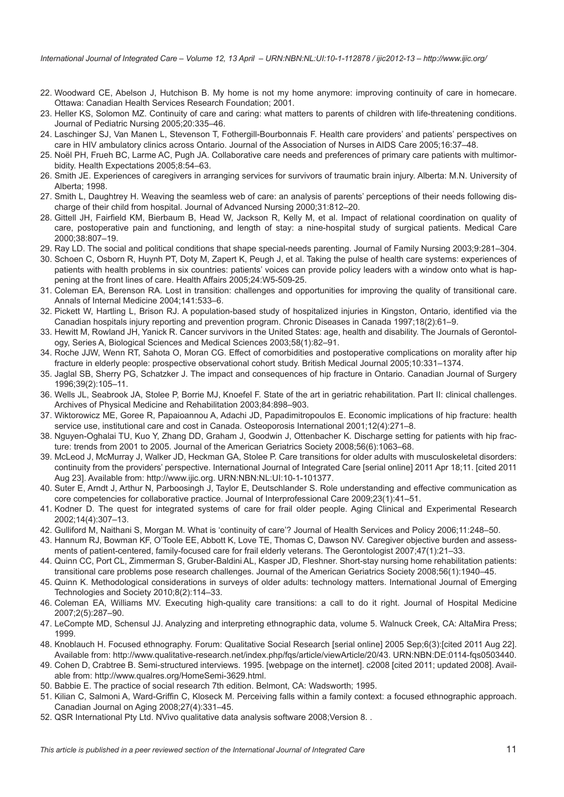- <span id="page-10-0"></span>22. Woodward CE, Abelson J, Hutchison B. My home is not my home anymore: improving continuity of care in homecare. Ottawa: Canadian Health Services Research Foundation; 2001.
- 23. Heller KS, Solomon MZ. Continuity of care and caring: what matters to parents of children with life-threatening conditions. Journal of Pediatric Nursing 2005;20:335–46.
- 24. Laschinger SJ, Van Manen L, Stevenson T, Fothergill-Bourbonnais F. Health care providers' and patients' perspectives on care in HIV ambulatory clinics across Ontario. Journal of the Association of Nurses in AIDS Care 2005;16:37–48.
- 25. Noël PH, Frueh BC, Larme AC, Pugh JA. Collaborative care needs and preferences of primary care patients with multimorbidity. Health Expectations 2005;8:54–63.
- 26. Smith JE. Experiences of caregivers in arranging services for survivors of traumatic brain injury. Alberta: M.N. University of Alberta; 1998.
- 27. Smith L, Daughtrey H. Weaving the seamless web of care: an analysis of parents' perceptions of their needs following discharge of their child from hospital. Journal of Advanced Nursing 2000;31:812–20.
- 28. Gittell JH, Fairfield KM, Bierbaum B, Head W, Jackson R, Kelly M, et al. Impact of relational coordination on quality of care, postoperative pain and functioning, and length of stay: a nine-hospital study of surgical patients. Medical Care 2000;38:807–19.
- 29. Ray LD. The social and political conditions that shape special-needs parenting. Journal of Family Nursing 2003;9:281–304.
- 30. Schoen C, Osborn R, Huynh PT, Doty M, Zapert K, Peugh J, et al. Taking the pulse of health care systems: experiences of patients with health problems in six countries: patients' voices can provide policy leaders with a window onto what is happening at the front lines of care. Health Affairs 2005;24:W5-509-25.
- 31. Coleman EA, Berenson RA. Lost in transition: challenges and opportunities for improving the quality of transitional care. Annals of Internal Medicine 2004;141:533–6.
- 32. Pickett W, Hartling L, Brison RJ. A population-based study of hospitalized injuries in Kingston, Ontario, identified via the Canadian hospitals injury reporting and prevention program. Chronic Diseases in Canada 1997;18(2):61–9.
- 33. Hewitt M, Rowland JH, Yanick R. Cancer survivors in the United States: age, health and disability. The Journals of Gerontology, Series A, Biological Sciences and Medical Sciences 2003;58(1):82–91.
- 34. Roche JJW, Wenn RT, Sahota O, Moran CG. Effect of comorbidities and postoperative complications on morality after hip fracture in elderly people: prospective observational cohort study. British Medical Journal 2005;10:331–1374.
- 35. Jaglal SB, Sherry PG, Schatzker J. The impact and consequences of hip fracture in Ontario. Canadian Journal of Surgery 1996;39(2):105–11.
- 36. Wells JL, Seabrook JA, Stolee P, Borrie MJ, Knoefel F. State of the art in geriatric rehabilitation. Part II: clinical challenges. Archives of Physical Medicine and Rehabilitation 2003;84:898–903.
- 37. Wiktorowicz ME, Goree R, Papaioannou A, Adachi JD, Papadimitropoulos E. Economic implications of hip fracture: health service use, institutional care and cost in Canada. Osteoporosis International 2001;12(4):271–8.
- 38. Nguyen-Oghalai TU, Kuo Y, Zhang DD, Graham J, Goodwin J, Ottenbacher K. Discharge setting for patients with hip fracture: trends from 2001 to 2005. Journal of the American Geriatrics Society 2008;56(6):1063–68.
- 39. McLeod J, McMurray J, Walker JD, Heckman GA, Stolee P. Care transitions for older adults with musculoskeletal disorders: continuity from the providers' perspective. International Journal of Integrated Care [serial online] 2011 Apr 18;11. [cited 2011 Aug 23]. Available from: [http://www.ijic.org.](http://www.ijic.org) URN:NBN:NL:UI:10-1-101377.
- 40. Suter E, Arndt J, Arthur N, Parboosingh J, Taylor E, Deutschlander S. Role understanding and effective communication as core competencies for collaborative practice. Journal of Interprofessional Care 2009;23(1):41–51.
- 41. Kodner D. The quest for integrated systems of care for frail older people. Aging Clinical and Experimental Research 2002;14(4):307–13.
- 42. Gulliford M, Naithani S, Morgan M. What is 'continuity of care'? Journal of Health Services and Policy 2006;11:248–50.
- 43. Hannum RJ, Bowman KF, O'Toole EE, Abbott K, Love TE, Thomas C, Dawson NV. Caregiver objective burden and assessments of patient-centered, family-focused care for frail elderly veterans. The Gerontologist 2007;47(1):21–33.
- 44. Quinn CC, Port CL, Zimmerman S, Gruber-Baldini AL, Kasper JD, Fleshner. Short-stay nursing home rehabilitation patients: transitional care problems pose research challenges. Journal of the American Geriatrics Society 2008;56(1):1940–45.
- 45. Quinn K. Methodological considerations in surveys of older adults: technology matters. International Journal of Emerging Technologies and Society 2010;8(2):114–33.
- 46. Coleman EA, Williams MV. Executing high-quality care transitions: a call to do it right. Journal of Hospital Medicine 2007;2(5):287–90.
- 47. LeCompte MD, Schensul JJ. Analyzing and interpreting ethnographic data, volume 5. Walnuck Creek, CA: AltaMira Press; 1999.
- 48. Knoblauch H. Focused ethnography. Forum: Qualitative Social Research [serial online] 2005 Sep;6(3):[cited 2011 Aug 22]. Available from:<http://www.qualitative-research.net/index.php/fqs/article/viewArticle/20/43>. URN:NBN:DE:0114-fqs0503440.
- 49. Cohen D, Crabtree B. Semi-structured interviews. 1995. [webpage on the internet]. c2008 [cited 2011; updated 2008]. Available from: [http://www.qualres.org/HomeSemi-3629.html.](http://www.qualres.org/HomeSemi-3629.html)
- 50. Babbie E. The practice of social research 7th edition. Belmont, CA: Wadsworth; 1995.
- 51. Kilian C, Salmoni A, Ward-Griffin C, Kloseck M. Perceiving falls within a family context: a focused ethnographic approach. Canadian Journal on Aging 2008;27(4):331–45.
- 52. QSR International Pty Ltd. NVivo qualitative data analysis software 2008;Version 8. .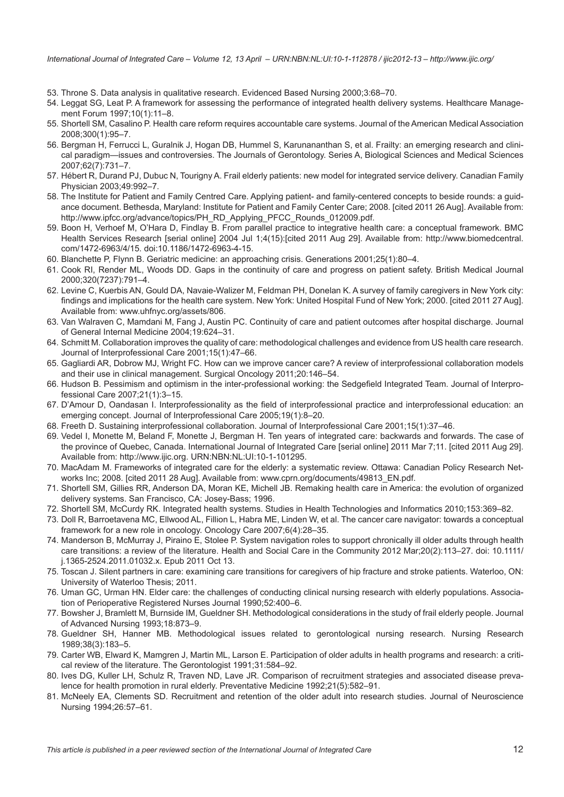<span id="page-11-0"></span>*International Journal of Integrated Care – Volume 12, 13 April – URN:NBN:NL:UI:10-1-112878 / ijic2012-13 – http://www.ijic.org/*

- 53. Throne S. Data analysis in qualitative research. Evidenced Based Nursing 2000;3:68–70.
- 54. Leggat SG, Leat P. A framework for assessing the performance of integrated health delivery systems. Healthcare Management Forum 1997;10(1):11–8.
- 55. Shortell SM, Casalino P. Health care reform requires accountable care systems. Journal of the American Medical Association 2008;300(1):95–7.
- 56. Bergman H, Ferrucci L, Guralnik J, Hogan DB, Hummel S, Karunananthan S, et al. Frailty: an emerging research and clinical paradigm—issues and controversies. The Journals of Gerontology. Series A, Biological Sciences and Medical Sciences 2007;62(7):731–7.
- 57. Hébert R, Durand PJ, Dubuc N, Tourigny A. Frail elderly patients: new model for integrated service delivery. Canadian Family Physician 2003;49:992–7.
- 58. The Institute for Patient and Family Centred Care. Applying patient- and family-centered concepts to beside rounds: a guidance document. Bethesda, Maryland: Institute for Patient and Family Center Care; 2008. [cited 2011 26 Aug]. Available from: [http://www.ipfcc.org/advance/topics/PH\\_RD\\_Applying\\_PFCC\\_Rounds\\_012009.pdf](http://www.ipfcc.org/advance/topics/PH_RD_Applying_PFCC_Rounds_012009.pdf).
- 59. Boon H, Verhoef M, O'Hara D, Findlay B. From parallel practice to integrative health care: a conceptual framework. BMC Health Services Research [serial online] 2004 Jul 1;4(15):[cited 2011 Aug 29]. Available from: [http://www.biomedcentral.](http://www.biomedcentral.com/1472-6963/4/15) [com/1472-6963/4/15](http://www.biomedcentral.com/1472-6963/4/15). doi:10.1186/1472-6963-4-15.
- 60. Blanchette P, Flynn B. Geriatric medicine: an approaching crisis. Generations 2001;25(1):80–4.
- 61. Cook RI, Render ML, Woods DD. Gaps in the continuity of care and progress on patient safety. British Medical Journal 2000;320(7237):791–4.
- 62. Levine C, Kuerbis AN, Gould DA, Navaie-Walizer M, Feldman PH, Donelan K. A survey of family caregivers in New York city: findings and implications for the health care system. New York: United Hospital Fund of New York; 2000. [cited 2011 27 Aug]. Available from: www.uhfnyc.org/assets/806.
- 63. Van Walraven C, Mamdani M, Fang J, Austin PC. Continuity of care and patient outcomes after hospital discharge. Journal of General Internal Medicine 2004;19:624–31.
- 64. Schmitt M. Collaboration improves the quality of care: methodological challenges and evidence from US health care research. Journal of Interprofessional Care 2001;15(1):47–66.
- 65. Gagliardi AR, Dobrow MJ, Wright FC. How can we improve cancer care? A review of interprofessional collaboration models and their use in clinical management. Surgical Oncology 2011;20:146–54.
- 66. Hudson B. Pessimism and optimism in the inter-professional working: the Sedgefield Integrated Team. Journal of Interprofessional Care 2007;21(1):3–15.
- 67. D'Amour D, Oandasan I. Interprofessionality as the field of interprofessional practice and interprofessional education: an emerging concept. Journal of Interprofessional Care 2005;19(1):8–20.
- 68. Freeth D. Sustaining interprofessional collaboration. Journal of Interprofessional Care 2001;15(1):37–46.
- 69. Vedel I, Monette M, Beland F, Monette J, Bergman H. Ten years of integrated care: backwards and forwards. The case of the province of Quebec, Canada. International Journal of Integrated Care [serial online] 2011 Mar 7;11. [cited 2011 Aug 29]. Available from: [http://www.ijic.org.](http://www.ijic.org) URN:NBN:NL:UI:10-1-101295.
- 70. MacAdam M. Frameworks of integrated care for the elderly: a systematic review. Ottawa: Canadian Policy Research Networks Inc; 2008. [cited 2011 28 Aug]. Available from: www.cprn.org/documents/49813\_EN.pdf.
- 71. Shortell SM, Gillies RR, Anderson DA, Moran KE, Michell JB. Remaking health care in America: the evolution of organized delivery systems. San Francisco, CA: Josey-Bass; 1996.
- 72. Shortell SM, McCurdy RK. Integrated health systems. Studies in Health Technologies and Informatics 2010;153:369–82.
- 73. Doll R, Barroetavena MC, Ellwood AL, Fillion L, Habra ME, Linden W, et al. The cancer care navigator: towards a conceptual framework for a new role in oncology. Oncology Care 2007;6(4):28–35.
- 74. Manderson B, McMurray J, Piraino E, Stolee P. System navigation roles to support chronically ill older adults through health care transitions: a review of the literature. Health and Social Care in the Community 2012 Mar;20(2):113–27. doi: 10.1111/ j.1365-2524.2011.01032.x. Epub 2011 Oct 13.
- 75. Toscan J. Silent partners in care: examining care transitions for caregivers of hip fracture and stroke patients. Waterloo, ON: University of Waterloo Thesis; 2011.
- 76. Uman GC, Urman HN. Elder care: the challenges of conducting clinical nursing research with elderly populations. Association of Perioperative Registered Nurses Journal 1990;52:400–6.
- 77. Bowsher J, Bramlett M, Burnside IM, Gueldner SH. Methodological considerations in the study of frail elderly people. Journal of Advanced Nursing 1993;18:873–9.
- 78. Gueldner SH, Hanner MB. Methodological issues related to gerontological nursing research. Nursing Research 1989;38(3):183–5.
- 79. Carter WB, Elward K, Mamgren J, Martin ML, Larson E. Participation of older adults in health programs and research: a critical review of the literature. The Gerontologist 1991;31:584–92.
- 80. Ives DG, Kuller LH, Schulz R, Traven ND, Lave JR. Comparison of recruitment strategies and associated disease prevalence for health promotion in rural elderly. Preventative Medicine 1992;21(5):582–91.
- 81. McNeely EA, Clements SD. Recruitment and retention of the older adult into research studies. Journal of Neuroscience Nursing 1994;26:57–61.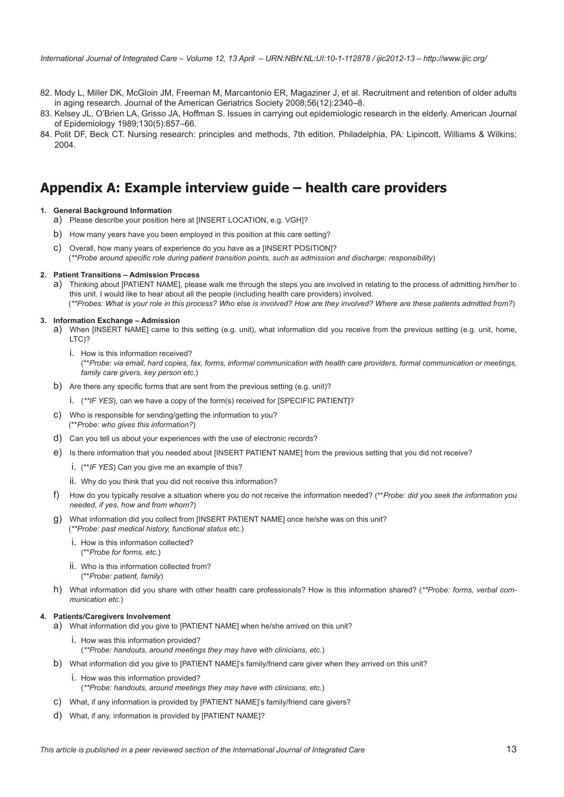- <span id="page-12-0"></span>82. Mody L, Miller DK, McGloin JM, Freeman M, Marcantonio ER, Magaziner J, et al. Recruitment and retention of older adults in aging research. Journal of the American Geriatrics Society 2008;56(12):2340–8.
- 83. Kelsey JL, O'Brien LA, Grisso JA, Hoffman S. Issues in carrying out epidemiologic research in the elderly. American Journal of Epidemiology 1989;130(5):857–66.
- 84. Polit DF, Beck CT. Nursing research: principles and methods, 7th edition. Philadelphia, PA: Lipincott, Williams & Wilkins; 2004.

## **Appendix A: Example interview guide – health care providers**

#### **1. General Background Information**

- a) Please describe your position here at [INSERT LOCATION, e.g. VGH]?
- b) How many years have you been employed in this position at this care setting?
- c) Overall, how many years of experience do you have as a [INSERT POSITION]? (*\*\*Probe around specific role during patient transition points, such as admission and discharge; responsibility*)

#### **2. Patient Transitions – Admission Process**

a) Thinking about [PATIENT NAME], please walk me through the steps you are involved in relating to the process of admitting him/her to this unit. I would like to hear about all the people (including health care providers) involved. (*\*\*Probes: What is your role in this process? Who else is involved? How are they involved? Where are these patients admitted from?*)

#### **3. Information Exchange – Admission**

- a) When [INSERT NAME] came to this setting (e.g. unit), what information did you receive from the previous setting (e.g. unit, home, LTC)?
	- i. How is this information received? (\*\**Probe: via email, hard copies, fax, forms, informal communication with health care providers, formal communication or meetings, family care givers, key person etc.*)
- b) Are there any specific forms that are sent from the previous setting (e.g. unit)?
	- i. (*\*\*IF YES*), can we have a copy of the form(s) received for [SPECIFIC PATIENT]?
- c) Who is responsible for sending/getting the information to you? (\*\**Probe: who gives this information?*)
- d) Can you tell us about your experiences with the use of electronic records?
- e) Is there information that you needed about [INSERT PATIENT NAME] from the previous setting that you did not receive?
	- i. (\*\**IF YES*) Can you give me an example of this?
	- ii. Why do you think that you did not receive this information?
- f) How do you typically resolve a situation where you do not receive the information needed? (\*\**Probe: did you seek the information you needed, if yes, how and from whom?*)
- g) What information did you collect from [INSERT PATIENT NAME] once he/she was on this unit? (*\*\*Probe: past medical history, functional status etc.*)
	- i. How is this information collected? (\*\**Probe for forms, etc.*)
	- ii. Who is this information collected from? (\*\**Probe: patient, family*)
- h) What information did you share with other health care professionals? How is this information shared? (*\*\*Probe: forms, verbal communication etc.*)

#### **4. Patients/Caregivers Involvement**

- a) What information did you give to [PATIENT NAME] when he/she arrived on this unit?
	- i. How was this information provided? (*\*\*Probe: handouts, around meetings they may have with clinicians, etc.*)
- b) What information did you give to [PATIENT NAME]'s family/friend care giver when they arrived on this unit?
	- i. How was this information provided? (*\*\*Probe: handouts, around meetings they may have with clinicians, etc.*)
- c) What, if any information is provided by [PATIENT NAME]'s family/friend care givers?
- d) What, if any, information is provided by [PATIENT NAME]?